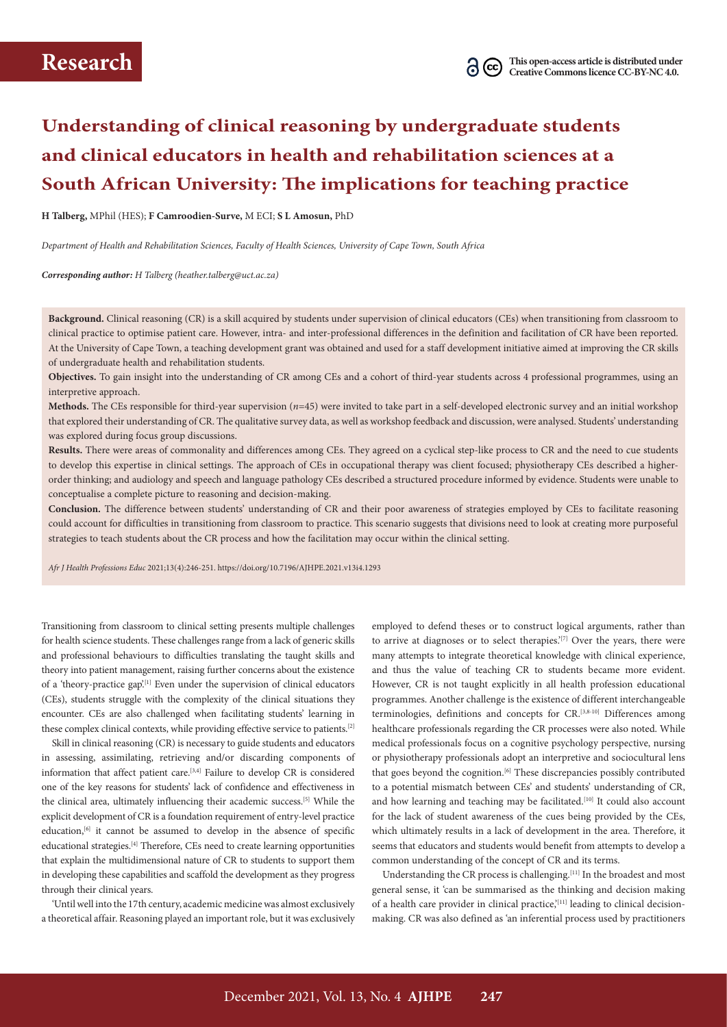# **Understanding of clinical reasoning by undergraduate students and clinical educators in health and rehabilitation sciences at a South African University: The implications for teaching practice**

**H Talberg,** MPhil (HES); **F Camroodien-Surve,** M ECI; **S L Amosun,** PhD

*Department of Health and Rehabilitation Sciences, Faculty of Health Sciences, University of Cape Town, South Africa*

*Corresponding author: H Talberg ([heather.talberg@uct.ac.za\)](mailto:heather.talberg@uct.ac.za)*

**Background.** Clinical reasoning (CR) is a skill acquired by students under supervision of clinical educators (CEs) when transitioning from classroom to clinical practice to optimise patient care. However, intra- and inter-professional differences in the definition and facilitation of CR have been reported. At the University of Cape Town, a teaching development grant was obtained and used for a staff development initiative aimed at improving the CR skills of undergraduate health and rehabilitation students.

**Objectives.** To gain insight into the understanding of CR among CEs and a cohort of third-year students across 4 professional programmes, using an interpretive approach.

**Methods.** The CEs responsible for third-year supervision (*n*=45) were invited to take part in a self-developed electronic survey and an initial workshop that explored their understanding of CR. The qualitative survey data, as well as workshop feedback and discussion, were analysed. Students' understanding was explored during focus group discussions.

**Results.** There were areas of commonality and differences among CEs. They agreed on a cyclical step-like process to CR and the need to cue students to develop this expertise in clinical settings. The approach of CEs in occupational therapy was client focused; physiotherapy CEs described a higherorder thinking; and audiology and speech and language pathology CEs described a structured procedure informed by evidence. Students were unable to conceptualise a complete picture to reasoning and decision-making.

**Conclusion.** The difference between students' understanding of CR and their poor awareness of strategies employed by CEs to facilitate reasoning could account for difficulties in transitioning from classroom to practice. This scenario suggests that divisions need to look at creating more purposeful strategies to teach students about the CR process and how the facilitation may occur within the clinical setting.

*Afr J Health Professions Educ* 2021;13(4):246-251. <https://doi.org/10.7196/AJHPE.2021.v13i4.1293>

Transitioning from classroom to clinical setting presents multiple challenges for health science students. These challenges range from a lack of generic skills and professional behaviours to difficulties translating the taught skills and theory into patient management, raising further concerns about the existence of a 'theory-practice gap'.<sup>[1]</sup> Even under the supervision of clinical educators (CEs), students struggle with the complexity of the clinical situations they encounter. CEs are also challenged when facilitating students' learning in these complex clinical contexts, while providing effective service to patients.[2]

Skill in clinical reasoning (CR) is necessary to guide students and educators in assessing, assimilating, retrieving and/or discarding components of information that affect patient care.[3,4] Failure to develop CR is considered one of the key reasons for students' lack of confidence and effectiveness in the clinical area, ultimately influencing their academic success.[5] While the explicit development of CR is a foundation requirement of entry-level practice education,<sup>[6]</sup> it cannot be assumed to develop in the absence of specific educational strategies.<sup>[4]</sup> Therefore, CEs need to create learning opportunities that explain the multidimensional nature of CR to students to support them in developing these capabilities and scaffold the development as they progress through their clinical years.

'Until well into the 17th century, academic medicine was almost exclusively a theoretical affair. Reasoning played an important role, but it was exclusively

employed to defend theses or to construct logical arguments, rather than to arrive at diagnoses or to select therapies.<sup>'[7]</sup> Over the years, there were many attempts to integrate theoretical knowledge with clinical experience, and thus the value of teaching CR to students became more evident. However, CR is not taught explicitly in all health profession educational programmes. Another challenge is the existence of different interchangeable terminologies, definitions and concepts for CR.<sup>[3,8-10]</sup> Differences among healthcare professionals regarding the CR processes were also noted. While medical professionals focus on a cognitive psychology perspective, nursing or physiotherapy professionals adopt an interpretive and sociocultural lens that goes beyond the cognition.<sup>[6]</sup> These discrepancies possibly contributed to a potential mismatch between CEs' and students' understanding of CR, and how learning and teaching may be facilitated.<sup>[10]</sup> It could also account for the lack of student awareness of the cues being provided by the CEs, which ultimately results in a lack of development in the area. Therefore, it seems that educators and students would benefit from attempts to develop a common understanding of the concept of CR and its terms.

Understanding the CR process is challenging.<sup>[11]</sup> In the broadest and most general sense, it 'can be summarised as the thinking and decision making of a health care provider in clinical practice, $\binom{[11]}{[11]}$  leading to clinical decisionmaking. CR was also defined as 'an inferential process used by practitioners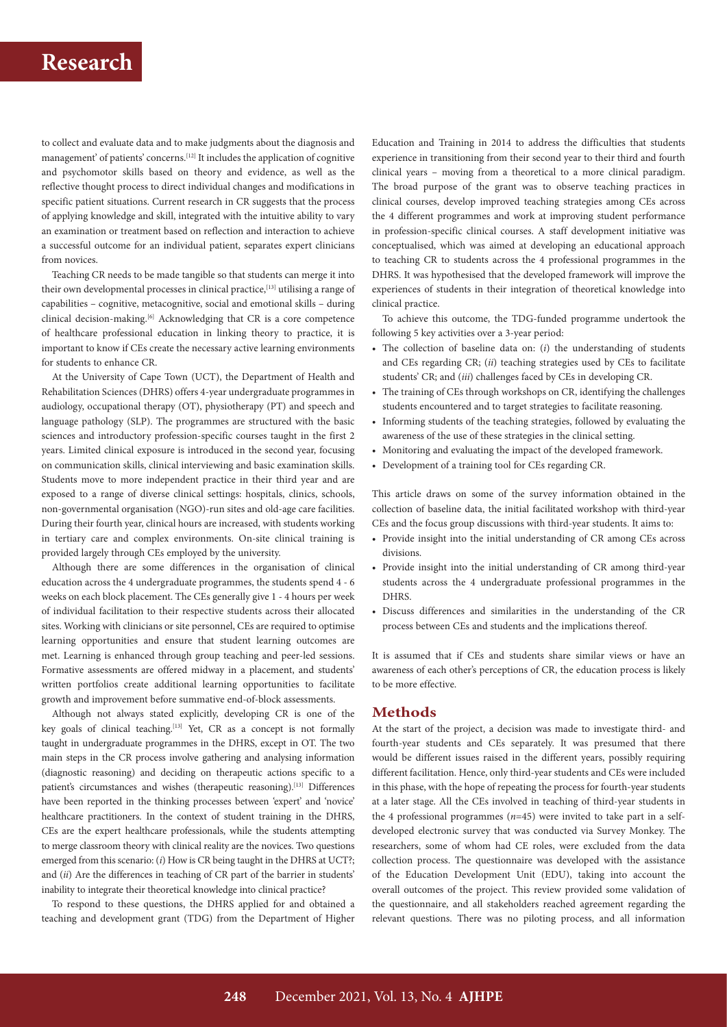to collect and evaluate data and to make judgments about the diagnosis and management' of patients' concerns.[12] It includes the application of cognitive and psychomotor skills based on theory and evidence, as well as the reflective thought process to direct individual changes and modifications in specific patient situations. Current research in CR suggests that the process of applying knowledge and skill, integrated with the intuitive ability to vary an examination or treatment based on reflection and interaction to achieve a successful outcome for an individual patient, separates expert clinicians from novices.

Teaching CR needs to be made tangible so that students can merge it into their own developmental processes in clinical practice,<sup>[13]</sup> utilising a range of capabilities – cognitive, metacognitive, social and emotional skills – during clinical decision-making.[6] Acknowledging that CR is a core competence of healthcare professional education in linking theory to practice, it is important to know if CEs create the necessary active learning environments for students to enhance CR.

At the University of Cape Town (UCT), the Department of Health and Rehabilitation Sciences (DHRS) offers 4-year undergraduate programmes in audiology, occupational therapy (OT), physiotherapy (PT) and speech and language pathology (SLP). The programmes are structured with the basic sciences and introductory profession-specific courses taught in the first 2 years. Limited clinical exposure is introduced in the second year, focusing on communication skills, clinical interviewing and basic examination skills. Students move to more independent practice in their third year and are exposed to a range of diverse clinical settings: hospitals, clinics, schools, non-governmental organisation (NGO)-run sites and old-age care facilities. During their fourth year, clinical hours are increased, with students working in tertiary care and complex environments. On-site clinical training is provided largely through CEs employed by the university.

Although there are some differences in the organisation of clinical education across the 4 undergraduate programmes, the students spend 4 - 6 weeks on each block placement. The CEs generally give 1 - 4 hours per week of individual facilitation to their respective students across their allocated sites. Working with clinicians or site personnel, CEs are required to optimise learning opportunities and ensure that student learning outcomes are met. Learning is enhanced through group teaching and peer-led sessions. Formative assessments are offered midway in a placement, and students' written portfolios create additional learning opportunities to facilitate growth and improvement before summative end-of-block assessments.

Although not always stated explicitly, developing CR is one of the key goals of clinical teaching.<sup>[13]</sup> Yet, CR as a concept is not formally taught in undergraduate programmes in the DHRS, except in OT. The two main steps in the CR process involve gathering and analysing information (diagnostic reasoning) and deciding on therapeutic actions specific to a patient's circumstances and wishes (therapeutic reasoning).<sup>[13]</sup> Differences have been reported in the thinking processes between 'expert' and 'novice' healthcare practitioners. In the context of student training in the DHRS, CEs are the expert healthcare professionals, while the students attempting to merge classroom theory with clinical reality are the novices. Two questions emerged from this scenario: (*i*) How is CR being taught in the DHRS at UCT?; and (*ii*) Are the differences in teaching of CR part of the barrier in students' inability to integrate their theoretical knowledge into clinical practice?

To respond to these questions, the DHRS applied for and obtained a teaching and development grant (TDG) from the Department of Higher

Education and Training in 2014 to address the difficulties that students experience in transitioning from their second year to their third and fourth clinical years – moving from a theoretical to a more clinical paradigm. The broad purpose of the grant was to observe teaching practices in clinical courses, develop improved teaching strategies among CEs across the 4 different programmes and work at improving student performance in profession-specific clinical courses. A staff development initiative was conceptualised, which was aimed at developing an educational approach to teaching CR to students across the 4 professional programmes in the DHRS. It was hypothesised that the developed framework will improve the experiences of students in their integration of theoretical knowledge into clinical practice.

To achieve this outcome, the TDG-funded programme undertook the following 5 key activities over a 3-year period:

- The collection of baseline data on: (*i*) the understanding of students and CEs regarding CR; (*ii*) teaching strategies used by CEs to facilitate students' CR; and (*iii*) challenges faced by CEs in developing CR.
- The training of CEs through workshops on CR, identifying the challenges students encountered and to target strategies to facilitate reasoning.
- Informing students of the teaching strategies, followed by evaluating the awareness of the use of these strategies in the clinical setting.
- Monitoring and evaluating the impact of the developed framework.
- Development of a training tool for CEs regarding CR.

This article draws on some of the survey information obtained in the collection of baseline data, the initial facilitated workshop with third-year CEs and the focus group discussions with third-year students. It aims to:

- Provide insight into the initial understanding of CR among CEs across divisions.
- Provide insight into the initial understanding of CR among third-year students across the 4 undergraduate professional programmes in the DHRS.
- Discuss differences and similarities in the understanding of the CR process between CEs and students and the implications thereof.

It is assumed that if CEs and students share similar views or have an awareness of each other's perceptions of CR, the education process is likely to be more effective.

### **Methods**

At the start of the project, a decision was made to investigate third- and fourth-year students and CEs separately. It was presumed that there would be different issues raised in the different years, possibly requiring different facilitation. Hence, only third-year students and CEs were included in this phase, with the hope of repeating the process for fourth-year students at a later stage. All the CEs involved in teaching of third-year students in the 4 professional programmes (*n*=45) were invited to take part in a selfdeveloped electronic survey that was conducted via Survey Monkey. The researchers, some of whom had CE roles, were excluded from the data collection process. The questionnaire was developed with the assistance of the Education Development Unit (EDU), taking into account the overall outcomes of the project. This review provided some validation of the questionnaire, and all stakeholders reached agreement regarding the relevant questions. There was no piloting process, and all information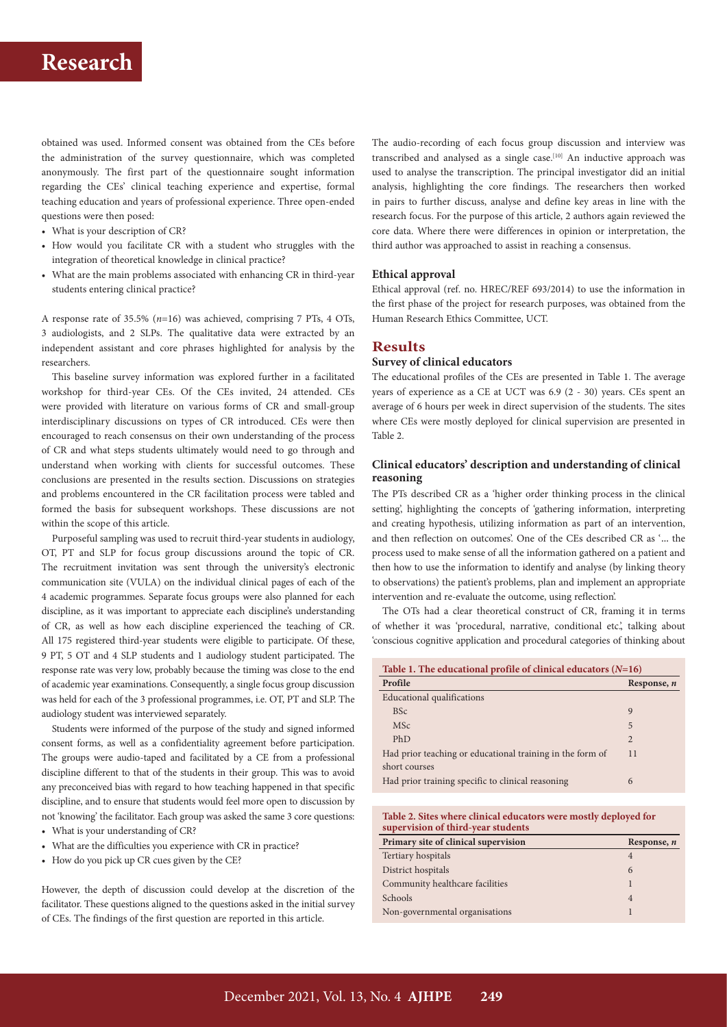obtained was used. Informed consent was obtained from the CEs before the administration of the survey questionnaire, which was completed anonymously. The first part of the questionnaire sought information regarding the CEs' clinical teaching experience and expertise, formal teaching education and years of professional experience. Three open-ended questions were then posed:

- What is your description of CR?
- How would you facilitate CR with a student who struggles with the integration of theoretical knowledge in clinical practice?
- What are the main problems associated with enhancing CR in third-year students entering clinical practice?

A response rate of 35.5% (*n*=16) was achieved, comprising 7 PTs, 4 OTs, 3 audiologists, and 2 SLPs. The qualitative data were extracted by an independent assistant and core phrases highlighted for analysis by the researchers.

This baseline survey information was explored further in a facilitated workshop for third-year CEs. Of the CEs invited, 24 attended. CEs were provided with literature on various forms of CR and small-group interdisciplinary discussions on types of CR introduced. CEs were then encouraged to reach consensus on their own understanding of the process of CR and what steps students ultimately would need to go through and understand when working with clients for successful outcomes. These conclusions are presented in the results section. Discussions on strategies and problems encountered in the CR facilitation process were tabled and formed the basis for subsequent workshops. These discussions are not within the scope of this article.

Purposeful sampling was used to recruit third-year students in audiology, OT, PT and SLP for focus group discussions around the topic of CR. The recruitment invitation was sent through the university's electronic communication site (VULA) on the individual clinical pages of each of the 4 academic programmes. Separate focus groups were also planned for each discipline, as it was important to appreciate each discipline's understanding of CR, as well as how each discipline experienced the teaching of CR. All 175 registered third-year students were eligible to participate. Of these, 9 PT, 5 OT and 4 SLP students and 1 audiology student participated. The response rate was very low, probably because the timing was close to the end of academic year examinations. Consequently, a single focus group discussion was held for each of the 3 professional programmes, i.e. OT, PT and SLP. The audiology student was interviewed separately.

Students were informed of the purpose of the study and signed informed consent forms, as well as a confidentiality agreement before participation. The groups were audio-taped and facilitated by a CE from a professional discipline different to that of the students in their group. This was to avoid any preconceived bias with regard to how teaching happened in that specific discipline, and to ensure that students would feel more open to discussion by not 'knowing' the facilitator. Each group was asked the same 3 core questions: • What is your understanding of CR?

- 
- What are the difficulties you experience with CR in practice?
- How do you pick up CR cues given by the CE?

However, the depth of discussion could develop at the discretion of the facilitator. These questions aligned to the questions asked in the initial survey of CEs. The findings of the first question are reported in this article.

The audio-recording of each focus group discussion and interview was transcribed and analysed as a single case.<sup>[10]</sup> An inductive approach was used to analyse the transcription. The principal investigator did an initial analysis, highlighting the core findings. The researchers then worked in pairs to further discuss, analyse and define key areas in line with the research focus. For the purpose of this article, 2 authors again reviewed the core data. Where there were differences in opinion or interpretation, the third author was approached to assist in reaching a consensus.

#### **Ethical approval**

Ethical approval (ref. no. HREC/REF 693/2014) to use the information in the first phase of the project for research purposes, was obtained from the Human Research Ethics Committee, UCT.

## **Results**

#### **Survey of clinical educators**

The educational profiles of the CEs are presented in Table 1. The average years of experience as a CE at UCT was 6.9 (2 - 30) years. CEs spent an average of 6 hours per week in direct supervision of the students. The sites where CEs were mostly deployed for clinical supervision are presented in Table 2.

### **Clinical educators' description and understanding of clinical reasoning**

The PTs described CR as a 'higher order thinking process in the clinical setting', highlighting the concepts of 'gathering information, interpreting and creating hypothesis, utilizing information as part of an intervention, and then reflection on outcomes'. One of the CEs described CR as '… the process used to make sense of all the information gathered on a patient and then how to use the information to identify and analyse (by linking theory to observations) the patient's problems, plan and implement an appropriate intervention and re-evaluate the outcome, using reflection'.

The OTs had a clear theoretical construct of CR, framing it in terms of whether it was 'procedural, narrative, conditional etc.', talking about 'conscious cognitive application and procedural categories of thinking about

| Table 1. The educational profile of clinical educators $(N=16)$ |                |  |  |
|-----------------------------------------------------------------|----------------|--|--|
| Profile                                                         | Response, n    |  |  |
| <b>Educational qualifications</b>                               |                |  |  |
| <b>BSc</b>                                                      | 9              |  |  |
| <b>MSc</b>                                                      | 5              |  |  |
| PhD                                                             | $\overline{2}$ |  |  |
| Had prior teaching or educational training in the form of       | 11             |  |  |
| short courses                                                   |                |  |  |
| Had prior training specific to clinical reasoning               | 6              |  |  |

**Table 2. Sites where clinical educators were mostly deployed for supervision of third-year students**

| Primary site of clinical supervision | Response, n    |
|--------------------------------------|----------------|
| Tertiary hospitals                   | $\overline{A}$ |
| District hospitals                   | 6              |
| Community healthcare facilities      |                |
| Schools                              | $\overline{A}$ |
| Non-governmental organisations       |                |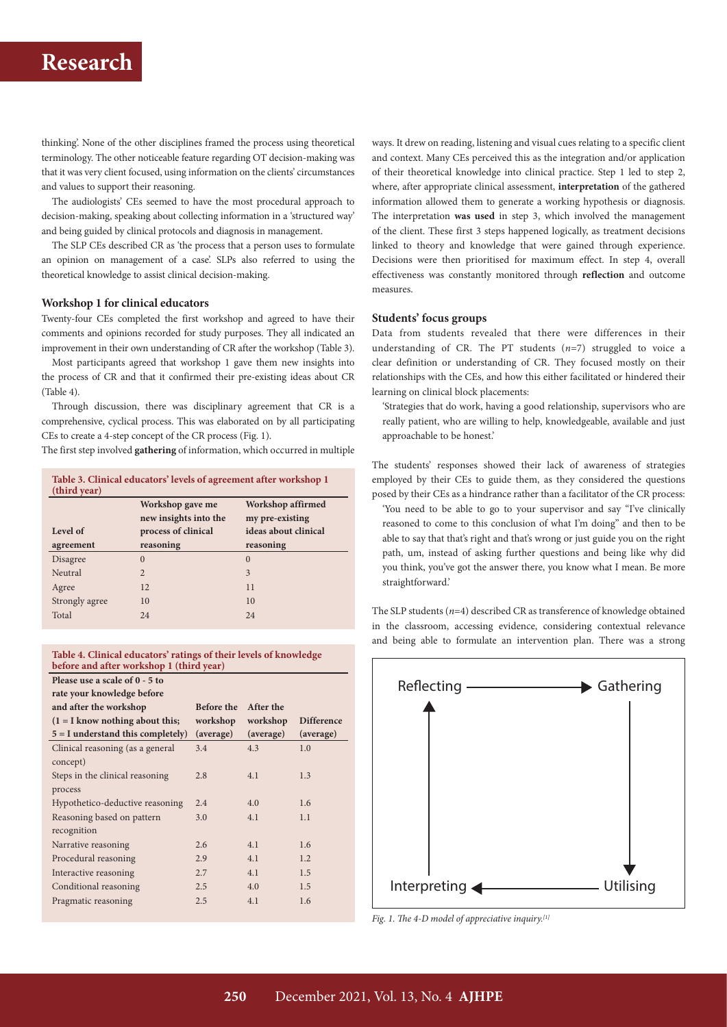thinking'. None of the other disciplines framed the process using theoretical terminology. The other noticeable feature regarding OT decision-making was that it was very client focused, using information on the clients' circumstances and values to support their reasoning.

The audiologists' CEs seemed to have the most procedural approach to decision-making, speaking about collecting information in a 'structured way' and being guided by clinical protocols and diagnosis in management.

The SLP CEs described CR as 'the process that a person uses to formulate an opinion on management of a case'. SLPs also referred to using the theoretical knowledge to assist clinical decision-making.

#### **Workshop 1 for clinical educators**

Twenty-four CEs completed the first workshop and agreed to have their comments and opinions recorded for study purposes. They all indicated an improvement in their own understanding of CR after the workshop (Table 3).

Most participants agreed that workshop 1 gave them new insights into the process of CR and that it confirmed their pre-existing ideas about CR (Table 4).

Through discussion, there was disciplinary agreement that CR is a comprehensive, cyclical process. This was elaborated on by all participating CEs to create a 4-step concept of the CR process (Fig. 1).

The first step involved **gathering** of information, which occurred in multiple

| Table 3. Clinical educators' levels of agreement after workshop 1<br>(third year) |                                           |                                      |  |  |
|-----------------------------------------------------------------------------------|-------------------------------------------|--------------------------------------|--|--|
|                                                                                   | Workshop gave me<br>new insights into the | Workshop affirmed<br>my pre-existing |  |  |
| Level of                                                                          | process of clinical                       | ideas about clinical                 |  |  |
| agreement                                                                         | reasoning                                 | reasoning                            |  |  |
| Disagree                                                                          | $\Omega$                                  | $\Omega$                             |  |  |
| Neutral                                                                           | $\overline{2}$                            | 3                                    |  |  |
| Agree                                                                             | 12                                        | 11                                   |  |  |
| Strongly agree                                                                    | 10                                        | 10                                   |  |  |
| Total                                                                             | 24                                        | 24                                   |  |  |

#### **Table 4. Clinical educators' ratings of their levels of knowledge before and after workshop 1 (third year)**

**Please use a scale of 0 - 5 to** 

| rate your knowledge before          |                   |           |                   |
|-------------------------------------|-------------------|-----------|-------------------|
| and after the workshop              | <b>Before the</b> | After the |                   |
| $(1 = I$ know nothing about this;   | workshop          | workshop  | <b>Difference</b> |
| $5 = I$ understand this completely) | (average)         | (average) | (average)         |
| Clinical reasoning (as a general    | 3.4               | 4.3       | 1.0               |
| concept)                            |                   |           |                   |
| Steps in the clinical reasoning     | 2.8               | 4.1       | 1.3               |
| process                             |                   |           |                   |
| Hypothetico-deductive reasoning     | 2.4               | 4.0       | 1.6               |
| Reasoning based on pattern          | 3.0               | 4.1       | 1.1               |
| recognition                         |                   |           |                   |
| Narrative reasoning                 | 2.6               | 4.1       | 1.6               |
| Procedural reasoning                | 2.9               | 4.1       | 1.2               |
| Interactive reasoning               | 2.7               | 4.1       | 1.5               |
| Conditional reasoning               | 2.5               | 4.0       | 1.5               |
| Pragmatic reasoning                 | 2.5               | 4.1       | 1.6               |
|                                     |                   |           |                   |

ways. It drew on reading, listening and visual cues relating to a specific client and context. Many CEs perceived this as the integration and/or application of their theoretical knowledge into clinical practice. Step 1 led to step 2, where, after appropriate clinical assessment, **interpretation** of the gathered information allowed them to generate a working hypothesis or diagnosis. The interpretation **was used** in step 3, which involved the management of the client. These first 3 steps happened logically, as treatment decisions linked to theory and knowledge that were gained through experience. Decisions were then prioritised for maximum effect. In step 4, overall effectiveness was constantly monitored through **reflection** and outcome measures.

### **Students' focus groups**

Data from students revealed that there were differences in their understanding of CR. The PT students  $(n=7)$  struggled to voice a clear definition or understanding of CR. They focused mostly on their relationships with the CEs, and how this either facilitated or hindered their learning on clinical block placements:

'Strategies that do work, having a good relationship, supervisors who are really patient, who are willing to help, knowledgeable, available and just approachable to be honest.'

The students' responses showed their lack of awareness of strategies employed by their CEs to guide them, as they considered the questions posed by their CEs as a hindrance rather than a facilitator of the CR process:

'You need to be able to go to your supervisor and say "I've clinically reasoned to come to this conclusion of what I'm doing" and then to be able to say that that's right and that's wrong or just guide you on the right path, um, instead of asking further questions and being like why did you think, you've got the answer there, you know what I mean. Be more straightforward.'

The SLP students (*n*=4) described CR as transference of knowledge obtained in the classroom, accessing evidence, considering contextual relevance and being able to formulate an intervention plan. There was a strong



*Fig. 1. The 4-D model of appreciative inquiry.[1]*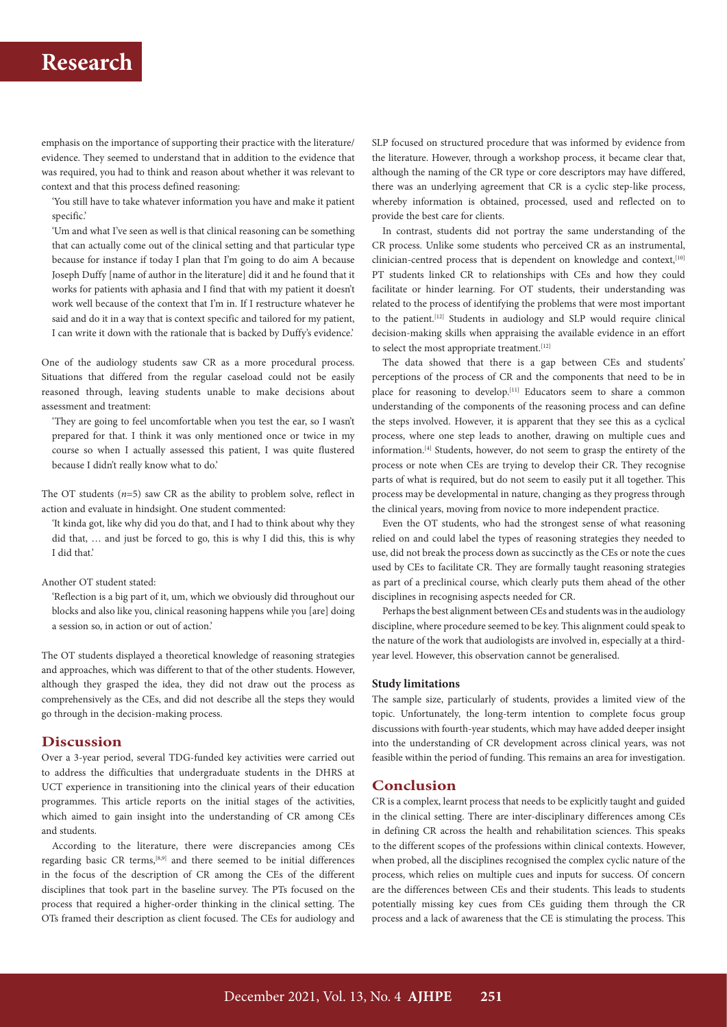emphasis on the importance of supporting their practice with the literature/ evidence. They seemed to understand that in addition to the evidence that was required, you had to think and reason about whether it was relevant to context and that this process defined reasoning:

'You still have to take whatever information you have and make it patient specific.'

'Um and what I've seen as well is that clinical reasoning can be something that can actually come out of the clinical setting and that particular type because for instance if today I plan that I'm going to do aim A because Joseph Duffy [name of author in the literature] did it and he found that it works for patients with aphasia and I find that with my patient it doesn't work well because of the context that I'm in. If I restructure whatever he said and do it in a way that is context specific and tailored for my patient, I can write it down with the rationale that is backed by Duffy's evidence.'

One of the audiology students saw CR as a more procedural process. Situations that differed from the regular caseload could not be easily reasoned through, leaving students unable to make decisions about assessment and treatment:

'They are going to feel uncomfortable when you test the ear, so I wasn't prepared for that. I think it was only mentioned once or twice in my course so when I actually assessed this patient, I was quite flustered because I didn't really know what to do.'

The OT students  $(n=5)$  saw CR as the ability to problem solve, reflect in action and evaluate in hindsight. One student commented:

'It kinda got, like why did you do that, and I had to think about why they did that, … and just be forced to go, this is why I did this, this is why I did that.'

#### Another OT student stated:

'Reflection is a big part of it, um, which we obviously did throughout our blocks and also like you, clinical reasoning happens while you [are] doing a session so, in action or out of action.'

The OT students displayed a theoretical knowledge of reasoning strategies and approaches, which was different to that of the other students. However, although they grasped the idea, they did not draw out the process as comprehensively as the CEs, and did not describe all the steps they would go through in the decision-making process.

### **Discussion**

Over a 3-year period, several TDG-funded key activities were carried out to address the difficulties that undergraduate students in the DHRS at UCT experience in transitioning into the clinical years of their education programmes. This article reports on the initial stages of the activities, which aimed to gain insight into the understanding of CR among CEs and students.

According to the literature, there were discrepancies among CEs regarding basic CR terms,[8,9] and there seemed to be initial differences in the focus of the description of CR among the CEs of the different disciplines that took part in the baseline survey. The PTs focused on the process that required a higher-order thinking in the clinical setting. The OTs framed their description as client focused. The CEs for audiology and SLP focused on structured procedure that was informed by evidence from the literature. However, through a workshop process, it became clear that, although the naming of the CR type or core descriptors may have differed, there was an underlying agreement that CR is a cyclic step-like process, whereby information is obtained, processed, used and reflected on to provide the best care for clients.

In contrast, students did not portray the same understanding of the CR process. Unlike some students who perceived CR as an instrumental, clinician-centred process that is dependent on knowledge and context,[10] PT students linked CR to relationships with CEs and how they could facilitate or hinder learning. For OT students, their understanding was related to the process of identifying the problems that were most important to the patient.[12] Students in audiology and SLP would require clinical decision-making skills when appraising the available evidence in an effort to select the most appropriate treatment.  $\left[ 12\right]$ 

The data showed that there is a gap between CEs and students' perceptions of the process of CR and the components that need to be in place for reasoning to develop.<sup>[11]</sup> Educators seem to share a common understanding of the components of the reasoning process and can define the steps involved. However, it is apparent that they see this as a cyclical process, where one step leads to another, drawing on multiple cues and information.[4] Students, however, do not seem to grasp the entirety of the process or note when CEs are trying to develop their CR. They recognise parts of what is required, but do not seem to easily put it all together. This process may be developmental in nature, changing as they progress through the clinical years, moving from novice to more independent practice.

Even the OT students, who had the strongest sense of what reasoning relied on and could label the types of reasoning strategies they needed to use, did not break the process down as succinctly as the CEs or note the cues used by CEs to facilitate CR. They are formally taught reasoning strategies as part of a preclinical course, which clearly puts them ahead of the other disciplines in recognising aspects needed for CR.

Perhaps the best alignment between CEs and students was in the audiology discipline, where procedure seemed to be key. This alignment could speak to the nature of the work that audiologists are involved in, especially at a thirdyear level. However, this observation cannot be generalised.

#### **Study limitations**

The sample size, particularly of students, provides a limited view of the topic. Unfortunately, the long-term intention to complete focus group discussions with fourth-year students, which may have added deeper insight into the understanding of CR development across clinical years, was not feasible within the period of funding. This remains an area for investigation.

### **Conclusion**

CR is a complex, learnt process that needs to be explicitly taught and guided in the clinical setting. There are inter-disciplinary differences among CEs in defining CR across the health and rehabilitation sciences. This speaks to the different scopes of the professions within clinical contexts. However, when probed, all the disciplines recognised the complex cyclic nature of the process, which relies on multiple cues and inputs for success. Of concern are the differences between CEs and their students. This leads to students potentially missing key cues from CEs guiding them through the CR process and a lack of awareness that the CE is stimulating the process. This